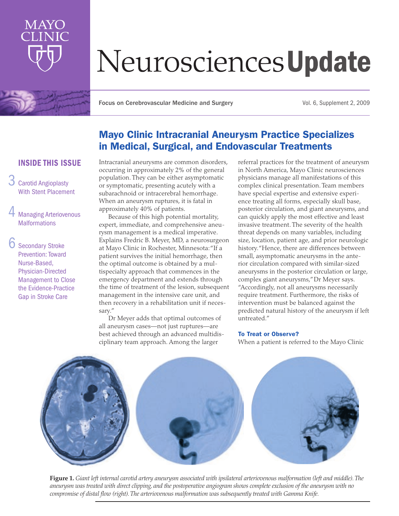

# NeurosciencesUpdate

Focus on Cerebrovascular Medicine and Surgery Vol. 6, Supplement 2, 2009

# Mayo Clinic Intracranial Aneurysm Practice Specializes in Medical, Surgical, and Endovascular Treatments

# INSIDE THIS ISSUE

- 3 Carotid Angioplasty With Stent Placement
- **Managing Arteriovenous Malformations**
- Secondary Stroke Prevention: Toward Nurse-Based, Physician-Directed Management to Close the Evidence-Practice Gap in Stroke Care

Intracranial aneurysms are common disorders, occurring in approximately 2% of the general population. They can be either asymptomatic or symptomatic, presenting acutely with a subarachnoid or intracerebral hemorrhage. When an aneurysm ruptures, it is fatal in approximately 40% of patients.

Because of this high potential mortality, expert, immediate, and comprehensive aneurysm management is a medical imperative. Explains Fredric B. Meyer, MD, a neurosurgeon at Mayo Clinic in Rochester, Minnesota: "If a patient survives the initial hemorrhage, then the optimal outcome is obtained by a multispecialty approach that commences in the emergency department and extends through the time of treatment of the lesion, subsequent management in the intensive care unit, and then recovery in a rehabilitation unit if necessary."

Dr Meyer adds that optimal outcomes of all aneurysm cases—not just ruptures—are best achieved through an advanced multidisciplinary team approach. Among the larger

referral practices for the treatment of aneurysm in North America, Mayo Clinic neurosciences physicians manage all manifestations of this complex clinical presentation. Team members have special expertise and extensive experience treating all forms, especially skull base, posterior circulation, and giant aneurysms, and can quickly apply the most effective and least invasive treatment. The severity of the health threat depends on many variables, including size, location, patient age, and prior neurologic history. "Hence, there are differences between small, asymptomatic aneurysms in the anterior circulation compared with similar-sized aneurysms in the posterior circulation or large, complex giant aneurysms," Dr Meyer says. "Accordingly, not all aneurysms necessarily require treatment. Furthermore, the risks of intervention must be balanced against the predicted natural history of the aneurysm if left untreated."

#### To Treat or Observe?

When a patient is referred to the Mayo Clinic



**Figure 1.** *Giant left internal carotid artery aneurysm associated with ipsilateral arteriovenous malformation (left and middle). The aneurysm was treated with direct clipping, and the postoperative angiogram shows complete exclusion of the aneurysm with no compromise of distal flow (right). The arteriovenous malformation was subsequently treated with Gamma Knife.*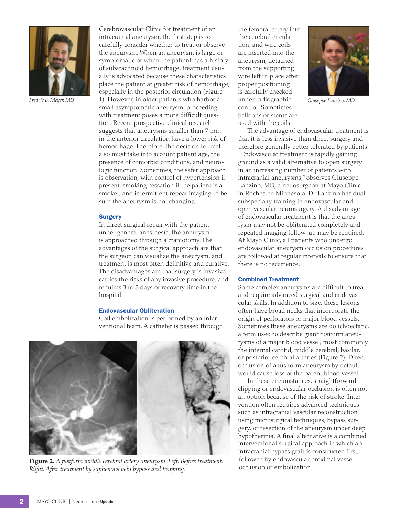

Cerebrovascular Clinic for treatment of an intracranial aneurysm, the first step is to carefully consider whether to treat or observe the aneurysm. When an aneurysm is large or symptomatic or when the patient has a history of subarachnoid hemorrhage, treatment usually is advocated because these characteristics place the patient at greater risk of hemorrhage, especially in the posterior circulation (Figure 1). However, in older patients who harbor a *Fredric B. Meyer, MD Giuseppe Lanzino, MD* small asymptomatic aneurysm, proceeding with treatment poses a more difficult question. Recent prospective clinical research suggests that aneurysms smaller than 7 mm in the anterior circulation have a lower risk of hemorrhage. Therefore, the decision to treat also must take into account patient age, the presence of comorbid conditions, and neurologic function. Sometimes, the safer approach is observation, with control of hypertension if present, smoking cessation if the patient is a smoker, and intermittent repeat imaging to be sure the aneurysm is not changing.

#### **Surgery**

In direct surgical repair with the patient under general anesthesia, the aneurysm is approached through a craniotomy. The advantages of the surgical approach are that the surgeon can visualize the aneurysm, and treatment is most often definitive and curative. The disadvantages are that surgery is invasive, carries the risks of any invasive procedure, and requires 3 to 5 days of recovery time in the hospital.

#### Endovascular Obliteration

Coil embolization is performed by an interventional team. A catheter is passed through



**Figure 2.** *A fusiform middle cerebral artery aneurysm. Left, Before treatment. Right, After treatment by saphenous vein bypass and trapping.* 

the femoral artery into the cerebral circulation, and wire coils are inserted into the aneurysm, detached from the supporting wire left in place after proper positioning is carefully checked under radiographic control. Sometimes balloons or stents are used with the coils.



The advantage of endovascular treatment is that it is less invasive than direct surgery and therefore generally better tolerated by patients. "Endovascular treatment is rapidly gaining ground as a valid alternative to open surgery in an increasing number of patients with intracranial aneurysms," observes Giuseppe Lanzino, MD, a neuosurgeon at Mayo Clinic in Rochester, Minnesota. Dr Lanzino has dual subspecialty training in endovascular and open vascular neurosurgery. A disadvantage of endovascular treatment is that the aneurysm may not be obliterated completely and repeated imaging follow-up may be required. At Mayo Clinic, all patients who undergo endovascular aneurysm occlusion procedures are followed at regular intervals to ensure that there is no recurrence.

#### Combined Treatment

Some complex aneurysms are difficult to treat and require advanced surgical and endovascular skills. In addition to size, these lesions often have broad necks that incorporate the origin of perforators or major blood vessels. Sometimes these aneurysms are dolichoectatic, a term used to describe giant fusiform aneurysms of a major blood vessel, most commonly the internal carotid, middle cerebral, basilar, or posterior cerebral arteries (Figure 2). Direct occlusion of a fusiform aneurysm by default would cause loss of the parent blood vessel.

In these circumstances, straightforward clipping or endovascular occlusion is often not an option because of the risk of stroke. Intervention often requires advanced techniques such as intracranial vascular reconstruction using microsurgical techniques, bypass surgery, or resection of the aneurysm under deep hypothermia. A final alternative is a combined interventional surgical approach in which an intracranial bypass graft is constructed first, followed by endovascular proximal vessel occlusion or embolization.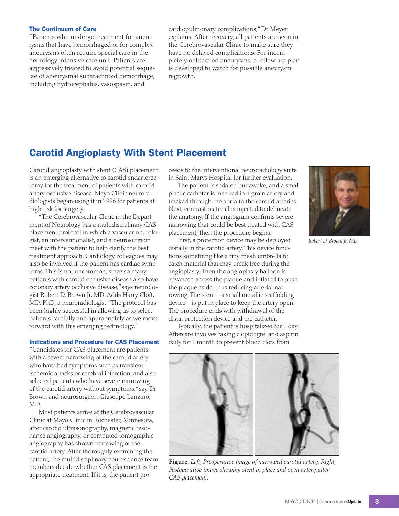#### The Continuum of Care

"Patients who undergo treatment for aneurysms that have hemorrhaged or for complex aneurysms often require special care in the neurology intensive care unit. Patients are aggressively treated to avoid potential sequelae of aneurysmal subarachnoid hemorrhage, including hydrocephalus, vasospasm, and

cardiopulmonary complications," Dr Meyer explains. After recovery, all patients are seen in the Cerebrovascular Clinic to make sure they have no delayed complications. For incompletely obliterated aneurysms, a follow-up plan is developed to watch for possible aneurysm regrowth.

# Carotid Angioplasty With Stent Placement

Carotid angioplasty with stent (CAS) placement is an emerging alternative to carotid endarterectomy for the treatment of patients with carotid artery occlusive disease. Mayo Clinic neuroradiologists began using it in 1996 for patients at high risk for surgery.

"The Cerebrovascular Clinic in the Department of Neurology has a multidisciplinary CAS placement protocol in which a vascular neurologist, an interventionalist, and a neurosurgeon meet with the patient to help clarify the best treatment approach. Cardiology colleagues may also be involved if the patient has cardiac symptoms. This is not uncommon, since so many patients with carotid occlusive disease also have coronary artery occlusive disease," says neurologist Robert D. Brown Jr, MD. Adds Harry Cloft, MD, PhD, a neuroradiologist: "The protocol has been highly successful in allowing us to select patients carefully and appropriately as we move forward with this emerging technology."

#### Indications and Procedure for CAS Placement

"Candidates for CAS placement are patients with a severe narrowing of the carotid artery who have had symptoms such as transient ischemic attacks or cerebral infarction, and also selected patients who have severe narrowing of the carotid artery without symptoms," say Dr Brown and neurosurgeon Giuseppe Lanzino, MD.

Most patients arrive at the Cerebrovascular Clinic at Mayo Clinic in Rochester, Minnesota, after carotid ultrasonography, magnetic resonance angiography, or computed tomographic angiography has shown narrowing of the carotid artery. After thoroughly examining the patient, the multidisciplinary neuroscience team members decide whether CAS placement is the appropriate treatment. If it is, the patient proceeds to the interventional neuroradiology suite in Saint Marys Hospital for further evaluation.

The patient is sedated but awake, and a small plastic catheter is inserted in a groin artery and tracked through the aorta to the carotid arteries. Next, contrast material is injected to delineate the anatomy. If the angiogram confirms severe narrowing that could be best treated with CAS placement, then the procedure begins.

First, a protection device may be deployed distally in the carotid artery. This device functions something like a tiny mesh umbrella to catch material that may break free during the angioplasty. Then the angioplasty balloon is advanced across the plaque and inflated to push the plaque aside, thus reducing arterial narrowing. The stent—a small metallic scaffolding device—is put in place to keep the artery open. The procedure ends with withdrawal of the distal protection device and the catheter.

Typically, the patient is hospitalized for 1 day. Aftercare involves taking clopidogrel and aspirin daily for 1 month to prevent blood clots from



*Robert D. Brown Jr, MD*



**Figure.** *Left, Preoperative image of narrowed carotid artery. Right,*  Postoperative image showing stent in place and open artery after *CAS placement.*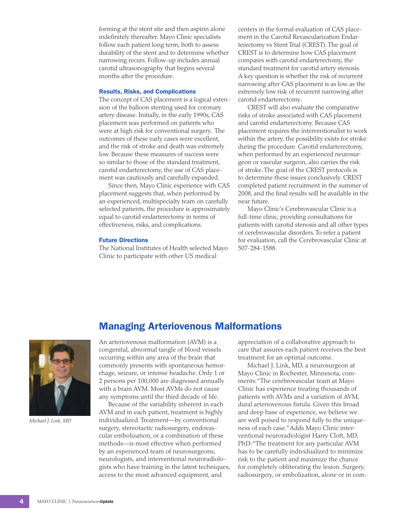forming at the stent site and then aspirin alone indefinitely thereafter. Mayo Clinic specialists follow each patient long term, both to assess durability of the stent and to determine whether narrowing recurs. Follow-up includes annual carotid ultrasonography that begins several months after the procedure.

#### Results, Risks, and Complications

The concept of CAS placement is a logical extension of the balloon stenting used for coronary artery disease. Initially, in the early 1990s, CAS placement was performed on patients who were at high risk for conventional surgery. The outcomes of these early cases were excellent, and the risk of stroke and death was extremely low. Because these measures of success were so similar to those of the standard treatment, carotid endarterectomy, the use of CAS placement was cautiously and carefully expanded.

Since then, Mayo Clinic experience with CAS placement suggests that, when performed by an experienced, multispecialty team on carefully selected patients, the procedure is approximately equal to carotid endarterectomy in terms of effectiveness, risks, and complications.

#### Future Directions

The National Institutes of Health selected Mayo Clinic to participate with other US medical

centers in the formal evaluation of CAS placement in the Carotid Revascularization Endarterectomy vs Stent Trial (CREST). The goal of CREST is to determine how CAS placement compares with carotid endarterectomy, the standard treatment for carotid artery stenosis. A key question is whether the risk of recurrent narrowing after CAS placement is as low as the extremely low risk of recurrent narrowing after carotid endarterectomy.

CREST will also evaluate the comparative risks of stroke associated with CAS placement and carotid endarterectomy. Because CAS placement requires the interventionalist to work within the artery, the possibility exists for stroke during the procedure. Carotid endarterectomy, when performed by an experienced neurosurgeon or vascular surgeon, also carries the risk of stroke. The goal of the CREST protocols is to determine these issues conclusively. CREST completed patient recruitment in the summer of 2008, and the final results will be available in the near future.

Mayo Clinic's Cerebrovascular Clinic is a full-time clinic, providing consultations for patients with carotid stenosis and all other types of cerebrovascular disorders. To refer a patient for evaluation, call the Cerebrovascular Clinic at 507-284-1588.



*Michael J. Link, MD*

## Managing Arteriovenous Malformations

An arteriovenous malformation (AVM) is a congenital, abnormal tangle of blood vessels occurring within any area of the brain that commonly presents with spontaneous hemorrhage, seizure, or intense headache. Only 1 or 2 persons per 100,000 are diagnosed annually with a brain AVM. Most AVMs do not cause any symptoms until the third decade of life.

Because of the variability inherent in each AVM and in each patient, treatment is highly individualized. Treatment—by conventional surgery, stereotactic radiosurgery, endovascular embolization, or a combination of these methods—is most effective when performed by an experienced team of neurosurgeons, neurologists, and interventional neuroradiologists who have training in the latest techniques, access to the most advanced equipment, and

appreciation of a collaborative approach to care that assures each patient receives the best treatment for an optimal outcome.

Michael J. Link, MD, a neurosurgeon at Mayo Clinic in Rochester, Minnesota, comments: "The cerebrovascular team at Mayo Clinic has experience treating thousands of patients with AVMs and a variation of AVM, dural arteriovenous fistula. Given this broad and deep base of experience, we believe we are well poised to respond fully to the uniqueness of each case." Adds Mayo Clinic interventional neuroradiologist Harry Cloft, MD, PhD: "The treatment for any particular AVM has to be carefully individualized to minimize risk to the patient and maximize the chance for completely obliterating the lesion. Surgery, radiosurgery, or embolization, alone or in com-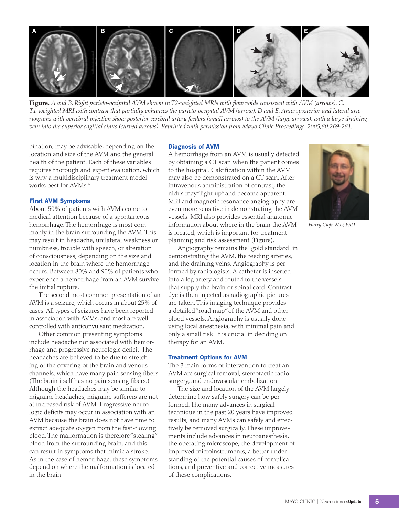

**Figure.** *A and B, Right parieto-occipital AVM shown in T2-weighted MRIs with flow voids consistent with AVM (arrows). C, T1-weighted MRI with contrast that partially enhances the parieto-occipital AVM (arrow). D and E, Anteroposterior and lateral arteriograms with vertebral injection show posterior cerebral artery feeders (small arrows) to the AVM (large arrows), with a large draining vein into the superior sagittal sinus (curved arrows). Reprinted with permission from Mayo Clinic Proceedings. 2005;80:269-281.*

bination, may be advisable, depending on the location and size of the AVM and the general health of the patient. Each of these variables requires thorough and expert evaluation, which is why a multidisciplinary treatment model works best for AVMs."

#### First AVM Symptoms

About 50% of patients with AVMs come to medical attention because of a spontaneous hemorrhage. The hemorrhage is most commonly in the brain surrounding the AVM. This may result in headache, unilateral weakness or numbness, trouble with speech, or alteration of consciousness, depending on the size and location in the brain where the hemorrhage occurs. Between 80% and 90% of patients who experience a hemorrhage from an AVM survive the initial rupture.

The second most common presentation of an AVM is a seizure, which occurs in about 25% of cases. All types of seizures have been reported in association with AVMs, and most are well controlled with anticonvulsant medication.

Other common presenting symptoms include headache not associated with hemorrhage and progressive neurologic deficit. The headaches are believed to be due to stretching of the covering of the brain and venous channels, which have many pain sensing fibers. (The brain itself has no pain sensing fibers.) Although the headaches may be similar to migraine headaches, migraine sufferers are not at increased risk of AVM. Progressive neurologic deficits may occur in association with an AVM because the brain does not have time to extract adequate oxygen from the fast-flowing blood. The malformation is therefore "stealing" blood from the surrounding brain, and this can result in symptoms that mimic a stroke. As in the case of hemorrhage, these symptoms depend on where the malformation is located in the brain.

#### Diagnosis of AVM

A hemorrhage from an AVM is usually detected by obtaining a CT scan when the patient comes to the hospital. Calcification within the AVM may also be demonstrated on a CT scan. After intravenous administration of contrast, the nidus may "light up" and become apparent. MRI and magnetic resonance angiography are even more sensitive in demonstrating the AVM vessels. MRI also provides essential anatomic information about where in the brain the AVM is located, which is important for treatment planning and risk assessment (Figure).

Angiography remains the "gold standard" in demonstrating the AVM, the feeding arteries, and the draining veins. Angiography is performed by radiologists. A catheter is inserted into a leg artery and routed to the vessels that supply the brain or spinal cord. Contrast dye is then injected as radiographic pictures are taken. This imaging technique provides a detailed "road map" of the AVM and other blood vessels. Angiography is usually done using local anesthesia, with minimal pain and only a small risk. It is crucial in deciding on therapy for an AVM.

#### Treatment Options for AVM

The 3 main forms of intervention to treat an AVM are surgical removal, stereotactic radiosurgery, and endovascular embolization.

The size and location of the AVM largely determine how safely surgery can be performed. The many advances in surgical technique in the past 20 years have improved results, and many AVMs can safely and effectively be removed surgically. These improvements include advances in neuroanesthesia, the operating microscope, the development of improved microinstruments, a better understanding of the potential causes of complications, and preventive and corrective measures of these complications.



*Harry Cloft, MD, PhD*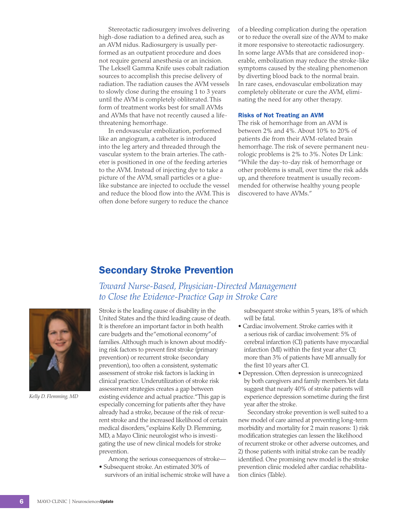Stereotactic radiosurgery involves delivering high-dose radiation to a defined area, such as an AVM nidus. Radiosurgery is usually performed as an outpatient procedure and does not require general anesthesia or an incision. The Leksell Gamma Knife uses cobalt radiation sources to accomplish this precise delivery of radiation. The radiation causes the AVM vessels to slowly close during the ensuing 1 to 3 years until the AVM is completely obliterated. This form of treatment works best for small AVMs and AVMs that have not recently caused a lifethreatening hemorrhage.

In endovascular embolization, performed like an angiogram, a catheter is introduced into the leg artery and threaded through the vascular system to the brain arteries. The catheter is positioned in one of the feeding arteries to the AVM. Instead of injecting dye to take a picture of the AVM, small particles or a gluelike substance are injected to occlude the vessel and reduce the blood flow into the AVM. This is often done before surgery to reduce the chance

of a bleeding complication during the operation or to reduce the overall size of the AVM to make it more responsive to stereotactic radiosurgery. In some large AVMs that are considered inoperable, embolization may reduce the stroke-like symptoms caused by the stealing phenomenon by diverting blood back to the normal brain. In rare cases, endovascular embolization may completely obliterate or cure the AVM, eliminating the need for any other therapy.

#### Risks of Not Treating an AVM

The risk of hemorrhage from an AVM is between 2% and 4%. About 10% to 20% of patients die from their AVM-related brain hemorrhage. The risk of severe permanent neurologic problems is 2% to 3%. Notes Dr Link: "While the day-to-day risk of hemorrhage or other problems is small, over time the risk adds up, and therefore treatment is usually recommended for otherwise healthy young people discovered to have AVMs."

# Secondary Stroke Prevention

## *Toward Nurse-Based, Physician-Directed Management to Close the Evidence-Practice Gap in Stroke Care*



*Kelly D. Flemming, MD*

Stroke is the leading cause of disability in the United States and the third leading cause of death. It is therefore an important factor in both health care budgets and the "emotional economy" of families. Although much is known about modifying risk factors to prevent first stroke (primary prevention) or recurrent stroke (secondary prevention), too often a consistent, systematic assessment of stroke risk factors is lacking in clinical practice. Underutilization of stroke risk assessment strategies creates a gap between existing evidence and actual practice. "This gap is especially concerning for patients after they have already had a stroke, because of the risk of recurrent stroke and the increased likelihood of certain medical disorders," explains Kelly D. Flemming, MD, a Mayo Clinic neurologist who is investigating the use of new clinical models for stroke prevention.

Among the serious consequences of stroke— • Subsequent stroke. An estimated 30% of

survivors of an initial ischemic stroke will have a

subsequent stroke within 5 years, 18% of which will be fatal.

- Cardiac involvement. Stroke carries with it a serious risk of cardiac involvement: 5% of cerebral infarction (CI) patients have myocardial infarction (MI) within the first year after CI; more than 3% of patients have MI annually for the first 10 years after CI.
- Depression. Often depression is unrecognized by both caregivers and family members. Yet data suggest that nearly 40% of stroke patients will experience depression sometime during the first year after the stroke.

Secondary stroke prevention is well suited to a new model of care aimed at preventing long-term morbidity and mortality for 2 main reasons: 1) risk modification strategies can lessen the likelihood of recurrent stroke or other adverse outcomes, and 2) those patients with initial stroke can be readily identified. One promising new model is the stroke prevention clinic modeled after cardiac rehabilitation clinics (Table).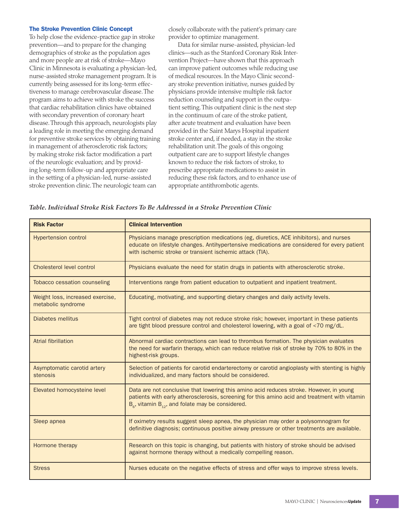#### The Stroke Prevention Clinic Concept

To help close the evidence-practice gap in stroke prevention—and to prepare for the changing demographics of stroke as the population ages and more people are at risk of stroke—Mayo Clinic in Minnesota is evaluating a physician-led, nurse-assisted stroke management program. It is currently being assessed for its long-term effectiveness to manage cerebrovascular disease. The program aims to achieve with stroke the success that cardiac rehabilitation clinics have obtained with secondary prevention of coronary heart disease. Through this approach, neurologists play a leading role in meeting the emerging demand for preventive stroke services by obtaining training in management of atherosclerotic risk factors; by making stroke risk factor modification a part of the neurologic evaluation; and by providing long-term follow-up and appropriate care in the setting of a physician-led, nurse-assisted stroke prevention clinic. The neurologic team can

closely collaborate with the patient's primary care provider to optimize management.

Data for similar nurse-assisted, physician-led clinics—such as the Stanford Coronary Risk Intervention Project—have shown that this approach can improve patient outcomes while reducing use of medical resources. In the Mayo Clinic secondary stroke prevention initiative, nurses guided by physicians provide intensive multiple risk factor reduction counseling and support in the outpatient setting. This outpatient clinic is the next step in the continuum of care of the stroke patient, after acute treatment and evaluation have been provided in the Saint Marys Hospital inpatient stroke center and, if needed, a stay in the stroke rehabilitation unit. The goals of this ongoing outpatient care are to support lifestyle changes known to reduce the risk factors of stroke, to prescribe appropriate medications to assist in reducing these risk factors, and to enhance use of appropriate antithrombotic agents.

#### *Table. Individual Stroke Risk Factors To Be Addressed in a Stroke Prevention Clinic*

| <b>Risk Factor</b>                                     | <b>Clinical Intervention</b>                                                                                                                                                                                                                                  |
|--------------------------------------------------------|---------------------------------------------------------------------------------------------------------------------------------------------------------------------------------------------------------------------------------------------------------------|
| <b>Hypertension control</b>                            | Physicians manage prescription medications (eg, diuretics, ACE inhibitors), and nurses<br>educate on lifestyle changes. Antihypertensive medications are considered for every patient<br>with ischemic stroke or transient ischemic attack (TIA).             |
| Cholesterol level control                              | Physicians evaluate the need for statin drugs in patients with atherosclerotic stroke.                                                                                                                                                                        |
| <b>Tobacco cessation counseling</b>                    | Interventions range from patient education to outpatient and inpatient treatment.                                                                                                                                                                             |
| Weight loss, increased exercise,<br>metabolic syndrome | Educating, motivating, and supporting dietary changes and daily activity levels.                                                                                                                                                                              |
| Diabetes mellitus                                      | Tight control of diabetes may not reduce stroke risk; however, important in these patients<br>are tight blood pressure control and cholesterol lowering, with a goal of <70 mg/dL.                                                                            |
| <b>Atrial fibrillation</b>                             | Abnormal cardiac contractions can lead to thrombus formation. The physician evaluates<br>the need for warfarin therapy, which can reduce relative risk of stroke by 70% to 80% in the<br>highest-risk groups.                                                 |
| Asymptomatic carotid artery<br>stenosis                | Selection of patients for carotid endarterectomy or carotid angioplasty with stenting is highly<br>individualized, and many factors should be considered.                                                                                                     |
| Elevated homocysteine level                            | Data are not conclusive that lowering this amino acid reduces stroke. However, in young<br>patients with early atherosclerosis, screening for this amino acid and treatment with vitamin<br>$B_{\epsilon}$ , vitamin $B_{12}$ , and folate may be considered. |
| Sleep apnea                                            | If oximetry results suggest sleep apnea, the physician may order a polysomnogram for<br>definitive diagnosis; continuous positive airway pressure or other treatments are available.                                                                          |
| Hormone therapy                                        | Research on this topic is changing, but patients with history of stroke should be advised<br>against hormone therapy without a medically compelling reason.                                                                                                   |
| <b>Stress</b>                                          | Nurses educate on the negative effects of stress and offer ways to improve stress levels.                                                                                                                                                                     |